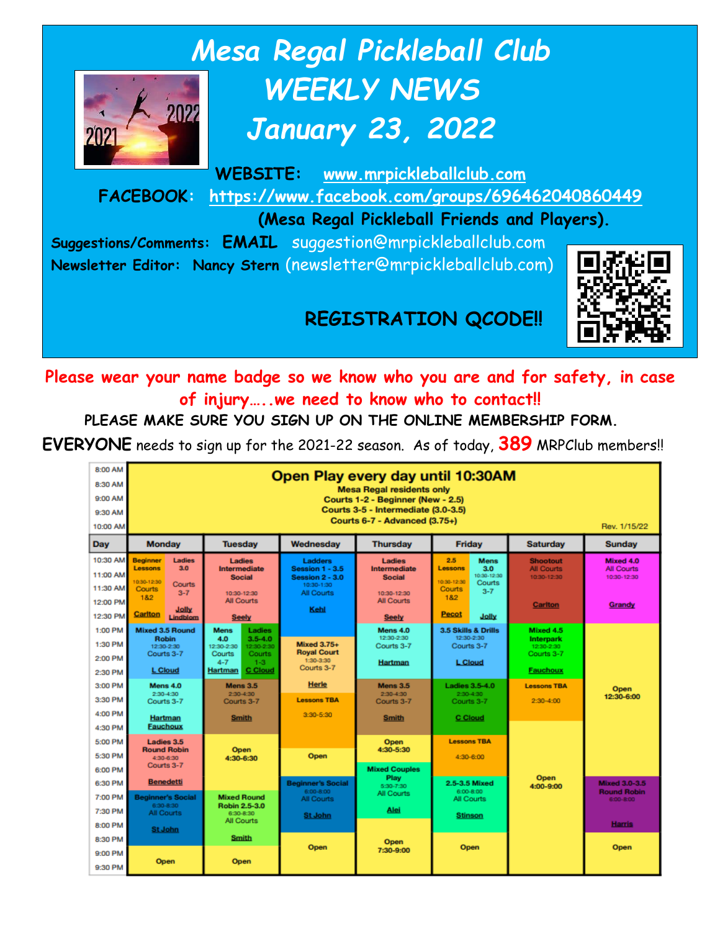

# *Mesa Regal Pickleball Club WEEKLY NEWS January 23, 2022*

**WEBSITE: [www.mrpickleballclub.com](http://www.mrpickleballclub.com/) FACEBOOK: <https://www.facebook.com/groups/696462040860449>**

 **(Mesa Regal Pickleball Friends and Players).**

**Suggestions/Comments: EMAIL** suggestion@mrpickleballclub.com **Newsletter Editor: Nancy Stern** (newsletter@mrpickleballclub.com)



## **REGISTRATION QCODE!!**

**Please wear your name badge so we know who you are and for safety, in case of injury…..we need to know who to contact!!**

**PLEASE MAKE SURE YOU SIGN UP ON THE ONLINE MEMBERSHIP FORM.** 

**EVERYONE** needs to sign up for the 2021-22 season. As of today, **389** MRPClub members!!

| 8:00 AM<br>8:30 AM<br>9:00 AM<br>9:30 AM<br>10:00 AM     | Open Play every day until 10:30AM<br><b>Mesa Regal residents only</b><br>Courts 1-2 - Beginner (New - 2.5)<br>Courts 3-5 - Intermediate (3.0-3.5)<br>Courts 6-7 - Advanced (3.75+)<br>Rev. 1/15/22 |                                                                                                                                                 |                                                                                                        |                                                                                                    |                                                                                                                                          |                                                                              |                                                                   |
|----------------------------------------------------------|----------------------------------------------------------------------------------------------------------------------------------------------------------------------------------------------------|-------------------------------------------------------------------------------------------------------------------------------------------------|--------------------------------------------------------------------------------------------------------|----------------------------------------------------------------------------------------------------|------------------------------------------------------------------------------------------------------------------------------------------|------------------------------------------------------------------------------|-------------------------------------------------------------------|
| Day                                                      | <b>Monday</b>                                                                                                                                                                                      | <b>Tuesday</b>                                                                                                                                  | Wednesday                                                                                              | <b>Thursday</b>                                                                                    | <b>Friday</b>                                                                                                                            | <b>Saturday</b>                                                              | <b>Sunday</b>                                                     |
| 10:30 AM<br>11:00 AM<br>11:30 AM<br>12:00 PM<br>12:30 PM | <b>Beginner</b><br><b>Ladies</b><br><b>Lessons</b><br>3.0<br>10:30-12:30<br>Courts<br>Courts<br>$3 - 7$<br>1&2<br>Jolly<br>Carlton<br>Lindblom                                                     | <b>Ladies</b><br><b>Intermediate</b><br><b>Social</b><br>10:30-12:30<br><b>All Courts</b><br><b>Seely</b>                                       | <b>Ladders</b><br><b>Session 1 - 3.5</b><br>Session 2 - 3.0<br>10:30-1:30<br><b>All Courts</b><br>Kehl | <b>Ladies</b><br>Intermediate<br><b>Social</b><br>10:30-12:30<br><b>All Courts</b><br><b>Seely</b> | 2.5<br><b>Mens</b><br>3.0<br><b>Lessons</b><br>10:30-12:30<br>10:30-12:30<br>Courts<br>Courts<br>$3 - 7$<br>1&2<br><b>Pecot</b><br>Jolly | <b>Shootout</b><br><b>All Courts</b><br>10:30-12:30<br><b>Carlton</b>        | Mixed 4.0<br><b>All Courts</b><br>10:30-12:30<br>Grandy           |
| 1:00 PM<br>1:30 PM<br>2:00 PM<br>2:30 PM                 | <b>Mixed 3.5 Round</b><br><b>Robin</b><br>12:30-2:30<br>Courts 3-7<br><b>L</b> Cloud                                                                                                               | <b>Mens</b><br>Ladies<br>$3.5 - 4.0$<br>4.0<br>12:30-2:30<br>12:30-2:30<br>Courts:<br>Courts<br>$4 - 7$<br>$1 - 3$<br><b>C</b> Cloud<br>Hartman | <b>Mixed 3.75+</b><br><b>Royal Court</b><br>1:30-3:30<br>Courts 3-7                                    | Mens 4.0<br>12:30-2:30<br>Courts 3-7<br>Hartman                                                    | 3.5 Skills & Drills<br>12:30-2:30<br>Courts 3-7<br><b>L</b> Cloud                                                                        | Mixed 4.5<br><b>Interpark</b><br>12:30-2:30<br>Courts 3-7<br><b>Fauchoux</b> |                                                                   |
| 3:00 PM<br>3:30 PM<br>4:00 PM<br>4:30 PM                 | Mens 4.0<br>2:30-4:30<br>Courts 3-7<br>Hartman<br><b>Fauchoux</b>                                                                                                                                  | Mens 3.5<br>2:30-4:30<br>Courts 3-7<br><b>Smith</b>                                                                                             | <b>Herle</b><br><b>Lessons TBA</b><br>$3:30 - 5:30$                                                    | Mens 3.5<br>$2:30-4:30$<br>Courts 3-7<br>Smith                                                     | <b>Ladies 3.5-4.0</b><br>$2:30-4:30$<br>Courts 3-7<br><b>C</b> Cloud                                                                     | <b>Lessons TBA</b><br>$2:30 - 4:00$                                          | Open<br>12:30-6:00                                                |
| 5:00 PM<br>5:30 PM<br>6:00 PM                            | Ladies 3.5<br><b>Round Robin</b><br>4:30-6:30<br>Courts 3-7                                                                                                                                        | <b>Open</b><br>4:30-6:30                                                                                                                        | Open                                                                                                   | Open<br>4:30-5:30<br><b>Mixed Couples</b>                                                          | <b>Lessons TBA</b><br>4:30-6:00                                                                                                          |                                                                              |                                                                   |
| 6:30 PM<br>7:00 PM<br>7:30 PM<br>8:00 PM                 | <b>Benedetti</b><br><b>Beginner's Social</b><br>6:30-8:30<br><b>All Courts</b><br><b>St John</b>                                                                                                   | <b>Mixed Round</b><br>Robin 2.5-3.0<br>6:30-8:30<br>All Courts                                                                                  | <b>Beginner's Social</b><br>6:00-8:00<br>All Courts<br>St John                                         | Play<br>5:30-7:30<br><b>All Courts</b><br>Alei                                                     | 2.5-3.5 Mixed<br>6:00-8:00<br>All Courts<br><b>Stinson</b>                                                                               | Open<br>4:00-9:00                                                            | <b>Mixed 3.0-3.5</b><br><b>Round Robin</b><br>6:00-8:00<br>Harris |
| 8:30 PM<br>9:00 PM<br>9:30 PM                            | <b>Open</b>                                                                                                                                                                                        | Smith<br><b>Open</b>                                                                                                                            | Open                                                                                                   | Open<br>7:30-9:00                                                                                  | Open                                                                                                                                     |                                                                              | Open                                                              |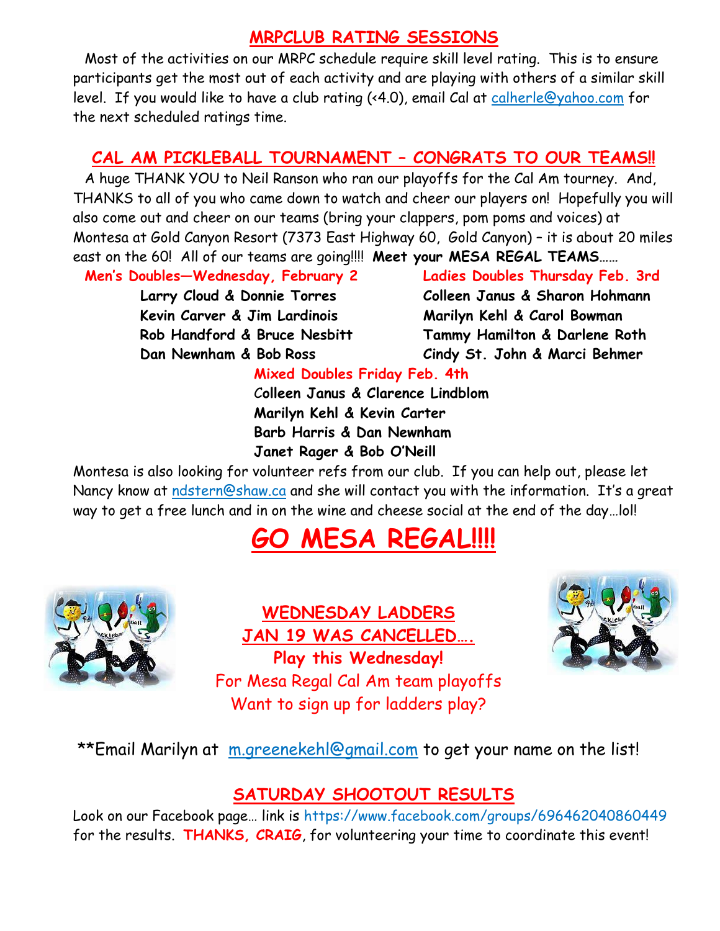#### **MRPCLUB RATING SESSIONS**

Most of the activities on our MRPC schedule require skill level rating. This is to ensure participants get the most out of each activity and are playing with others of a similar skill level. If you would like to have a club rating (<4.0), email Cal at [calherle@yahoo.com](mailto:calherle@yahoo.com) for the next scheduled ratings time.

### **CAL AM PICKLEBALL TOURNAMENT – CONGRATS TO OUR TEAMS!!**

A huge THANK YOU to Neil Ranson who ran our playoffs for the Cal Am tourney. And, THANKS to all of you who came down to watch and cheer our players on! Hopefully you will also come out and cheer on our teams (bring your clappers, pom poms and voices) at Montesa at Gold Canyon Resort (7373 East Highway 60, Gold Canyon) – it is about 20 miles east on the 60! All of our teams are going!!!! **Meet your MESA REGAL TEAMS……**

**Men's Doubles—Wednesday, February 2 Ladies Doubles Thursday Feb. 3rd**

 **Kevin Carver & Jim Lardinois Marilyn Kehl & Carol Bowman**

 **Larry Cloud & Donnie Torres Colleen Janus & Sharon Hohmann Rob Handford & Bruce Nesbitt Tammy Hamilton & Darlene Roth Dan Newnham & Bob Ross Cindy St. John & Marci Behmer**

#### **Mixed Doubles Friday Feb. 4th**

 C**olleen Janus & Clarence Lindblom Marilyn Kehl & Kevin Carter Barb Harris & Dan Newnham Janet Rager & Bob O'Neill**

Montesa is also looking for volunteer refs from our club. If you can help out, please let Nancy know at [ndstern@shaw.ca](mailto:ndstern@shaw.ca) and she will contact you with the information. It's a great way to get a free lunch and in on the wine and cheese social at the end of the day…lol!

## **GO MESA REGAL!!!!**



**WEDNESDAY LADDERS JAN 19 WAS CANCELLED…. Play this Wednesday!** For Mesa Regal Cal Am team playoffs Want to sign up for ladders play?



\*\*Email Marilyn at [m.greenekehl@gmail.com](mailto:m.greenekehl@gmail.com) to get your name on the list!

#### **SATURDAY SHOOTOUT RESULTS**

Look on our Facebook page… link is https://www.facebook.com/groups/696462040860449 for the results. **THANKS, CRAIG**, for volunteering your time to coordinate this event!